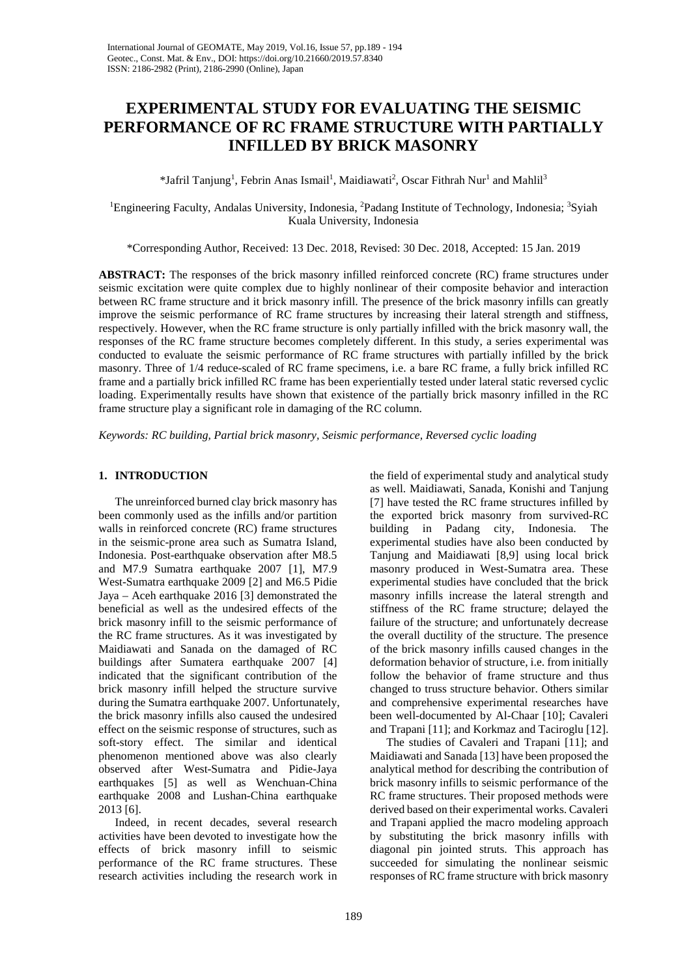# **EXPERIMENTAL STUDY FOR EVALUATING THE SEISMIC PERFORMANCE OF RC FRAME STRUCTURE WITH PARTIALLY INFILLED BY BRICK MASONRY**

\*Jafril Tanjung<sup>1</sup>, Febrin Anas Ismail<sup>1</sup>, Maidiawati<sup>2</sup>, Oscar Fithrah Nur<sup>1</sup> and Mahlil<sup>3</sup>

<sup>1</sup>Engineering Faculty, Andalas University, Indonesia, <sup>2</sup>Padang Institute of Technology, Indonesia; <sup>3</sup>Syiah Kuala University, Indonesia

\*Corresponding Author, Received: 13 Dec. 2018, Revised: 30 Dec. 2018, Accepted: 15 Jan. 2019

**ABSTRACT:** The responses of the brick masonry infilled reinforced concrete (RC) frame structures under seismic excitation were quite complex due to highly nonlinear of their composite behavior and interaction between RC frame structure and it brick masonry infill. The presence of the brick masonry infills can greatly improve the seismic performance of RC frame structures by increasing their lateral strength and stiffness, respectively. However, when the RC frame structure is only partially infilled with the brick masonry wall, the responses of the RC frame structure becomes completely different. In this study, a series experimental was conducted to evaluate the seismic performance of RC frame structures with partially infilled by the brick masonry. Three of 1/4 reduce-scaled of RC frame specimens, i.e. a bare RC frame, a fully brick infilled RC frame and a partially brick infilled RC frame has been experientially tested under lateral static reversed cyclic loading. Experimentally results have shown that existence of the partially brick masonry infilled in the RC frame structure play a significant role in damaging of the RC column.

*Keywords: RC building, Partial brick masonry, Seismic performance, Reversed cyclic loading*

# **1. INTRODUCTION**

The unreinforced burned clay brick masonry has been commonly used as the infills and/or partition walls in reinforced concrete (RC) frame structures in the seismic-prone area such as Sumatra Island, Indonesia. Post-earthquake observation after M8.5 and M7.9 Sumatra earthquake 2007 [1], M7.9 West-Sumatra earthquake 2009 [2] and M6.5 Pidie Jaya – Aceh earthquake 2016 [3] demonstrated the beneficial as well as the undesired effects of the brick masonry infill to the seismic performance of the RC frame structures. As it was investigated by Maidiawati and Sanada on the damaged of RC buildings after Sumatera earthquake 2007 [4] indicated that the significant contribution of the brick masonry infill helped the structure survive during the Sumatra earthquake 2007. Unfortunately, the brick masonry infills also caused the undesired effect on the seismic response of structures, such as soft-story effect. The similar and identical phenomenon mentioned above was also clearly observed after West-Sumatra and Pidie-Jaya earthquakes [5] as well as Wenchuan-China earthquake 2008 and Lushan-China earthquake 2013 [6].

Indeed, in recent decades, several research activities have been devoted to investigate how the effects of brick masonry infill to seismic performance of the RC frame structures. These research activities including the research work in

the field of experimental study and analytical study as well. Maidiawati, Sanada, Konishi and Tanjung [7] have tested the RC frame structures infilled by the exported brick masonry from survived-RC building in Padang city, Indonesia. The experimental studies have also been conducted by Tanjung and Maidiawati [8,9] using local brick masonry produced in West-Sumatra area. These experimental studies have concluded that the brick masonry infills increase the lateral strength and stiffness of the RC frame structure; delayed the failure of the structure; and unfortunately decrease the overall ductility of the structure. The presence of the brick masonry infills caused changes in the deformation behavior of structure, i.e. from initially follow the behavior of frame structure and thus changed to truss structure behavior. Others similar and comprehensive experimental researches have been well-documented by Al-Chaar [10]; Cavaleri and Trapani [11]; and Korkmaz and Taciroglu [12].

The studies of Cavaleri and Trapani [11]; and Maidiawati and Sanada [13] have been proposed the analytical method for describing the contribution of brick masonry infills to seismic performance of the RC frame structures. Their proposed methods were derived based on their experimental works. Cavaleri and Trapani applied the macro modeling approach by substituting the brick masonry infills with diagonal pin jointed struts. This approach has succeeded for simulating the nonlinear seismic responses of RC frame structure with brick masonry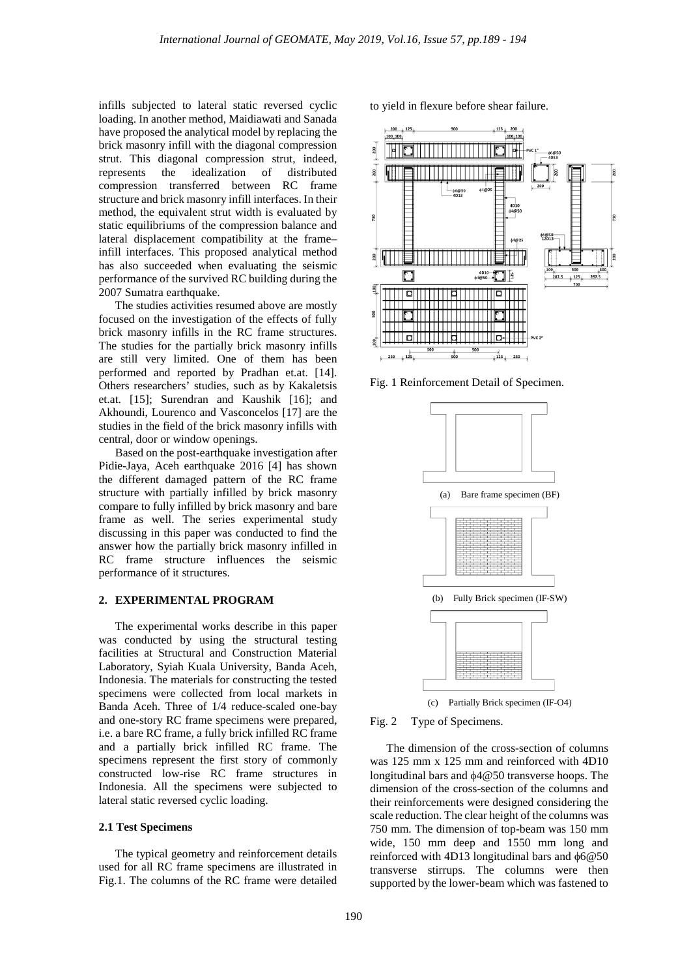infills subjected to lateral static reversed cyclic loading. In another method, Maidiawati and Sanada have proposed the analytical model by replacing the brick masonry infill with the diagonal compression strut. This diagonal compression strut, indeed, represents the idealization of distributed compression transferred between RC frame structure and brick masonry infill interfaces. In their method, the equivalent strut width is evaluated by static equilibriums of the compression balance and lateral displacement compatibility at the frame– infill interfaces. This proposed analytical method has also succeeded when evaluating the seismic performance of the survived RC building during the 2007 Sumatra earthquake.

The studies activities resumed above are mostly focused on the investigation of the effects of fully brick masonry infills in the RC frame structures. The studies for the partially brick masonry infills are still very limited. One of them has been performed and reported by Pradhan et.at. [14]. Others researchers' studies, such as by Kakaletsis et.at. [15]; Surendran and Kaushik [16]; and Akhoundi, Lourenco and Vasconcelos [17] are the studies in the field of the brick masonry infills with central, door or window openings.

Based on the post-earthquake investigation after Pidie-Jaya, Aceh earthquake 2016 [4] has shown the different damaged pattern of the RC frame structure with partially infilled by brick masonry compare to fully infilled by brick masonry and bare frame as well. The series experimental study discussing in this paper was conducted to find the answer how the partially brick masonry infilled in RC frame structure influences the seismic performance of it structures.

#### **2. EXPERIMENTAL PROGRAM**

The experimental works describe in this paper was conducted by using the structural testing facilities at Structural and Construction Material Laboratory, Syiah Kuala University, Banda Aceh, Indonesia. The materials for constructing the tested specimens were collected from local markets in Banda Aceh. Three of 1/4 reduce-scaled one-bay and one-story RC frame specimens were prepared, i.e. a bare RC frame, a fully brick infilled RC frame and a partially brick infilled RC frame. The specimens represent the first story of commonly constructed low-rise RC frame structures in Indonesia. All the specimens were subjected to lateral static reversed cyclic loading.

#### **2.1 Test Specimens**

The typical geometry and reinforcement details used for all RC frame specimens are illustrated in Fig.1. The columns of the RC frame were detailed to yield in flexure before shear failure.



Fig. 1 Reinforcement Detail of Specimen.



Fig. 2 Type of Specimens.

The dimension of the cross-section of columns was 125 mm x 125 mm and reinforced with 4D10 longitudinal bars and φ4@50 transverse hoops. The dimension of the cross-section of the columns and their reinforcements were designed considering the scale reduction. The clear height of the columns was 750 mm. The dimension of top-beam was 150 mm wide, 150 mm deep and 1550 mm long and reinforced with 4D13 longitudinal bars and φ6@50 transverse stirrups. The columns were then supported by the lower-beam which was fastened to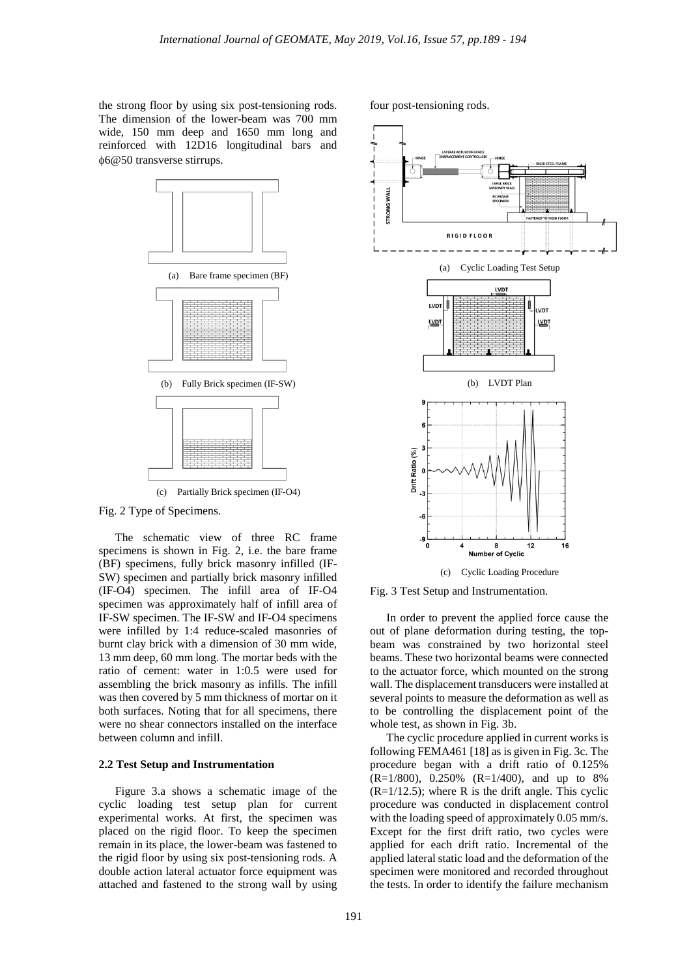the strong floor by using six post-tensioning rods. The dimension of the lower-beam was 700 mm wide, 150 mm deep and 1650 mm long and reinforced with 12D16 longitudinal bars and φ6@50 transverse stirrups.



Fig. 2 Type of Specimens.

The schematic view of three RC frame specimens is shown in Fig. 2, i.e. the bare frame (BF) specimens, fully brick masonry infilled (IF-SW) specimen and partially brick masonry infilled (IF-O4) specimen. The infill area of IF-O4 specimen was approximately half of infill area of IF-SW specimen. The IF-SW and IF-O4 specimens were infilled by 1:4 reduce-scaled masonries of burnt clay brick with a dimension of 30 mm wide, 13 mm deep, 60 mm long. The mortar beds with the ratio of cement: water in 1:0.5 were used for assembling the brick masonry as infills. The infill was then covered by 5 mm thickness of mortar on it both surfaces. Noting that for all specimens, there were no shear connectors installed on the interface between column and infill.

#### **2.2 Test Setup and Instrumentation**

Figure 3.a shows a schematic image of the cyclic loading test setup plan for current experimental works. At first, the specimen was placed on the rigid floor. To keep the specimen remain in its place, the lower-beam was fastened to the rigid floor by using six post-tensioning rods. A double action lateral actuator force equipment was attached and fastened to the strong wall by using four post-tensioning rods.



(c) Cyclic Loading Procedure

Fig. 3 Test Setup and Instrumentation.

In order to prevent the applied force cause the out of plane deformation during testing, the topbeam was constrained by two horizontal steel beams. These two horizontal beams were connected to the actuator force, which mounted on the strong wall. The displacement transducers were installed at several points to measure the deformation as well as to be controlling the displacement point of the whole test, as shown in Fig. 3b.

The cyclic procedure applied in current works is following FEMA461 [18] as is given in Fig. 3c. The procedure began with a drift ratio of 0.125% (R=1/800), 0.250% (R=1/400), and up to 8%  $(R=1/12.5)$ ; where R is the drift angle. This cyclic procedure was conducted in displacement control with the loading speed of approximately 0.05 mm/s. Except for the first drift ratio, two cycles were applied for each drift ratio. Incremental of the applied lateral static load and the deformation of the specimen were monitored and recorded throughout the tests. In order to identify the failure mechanism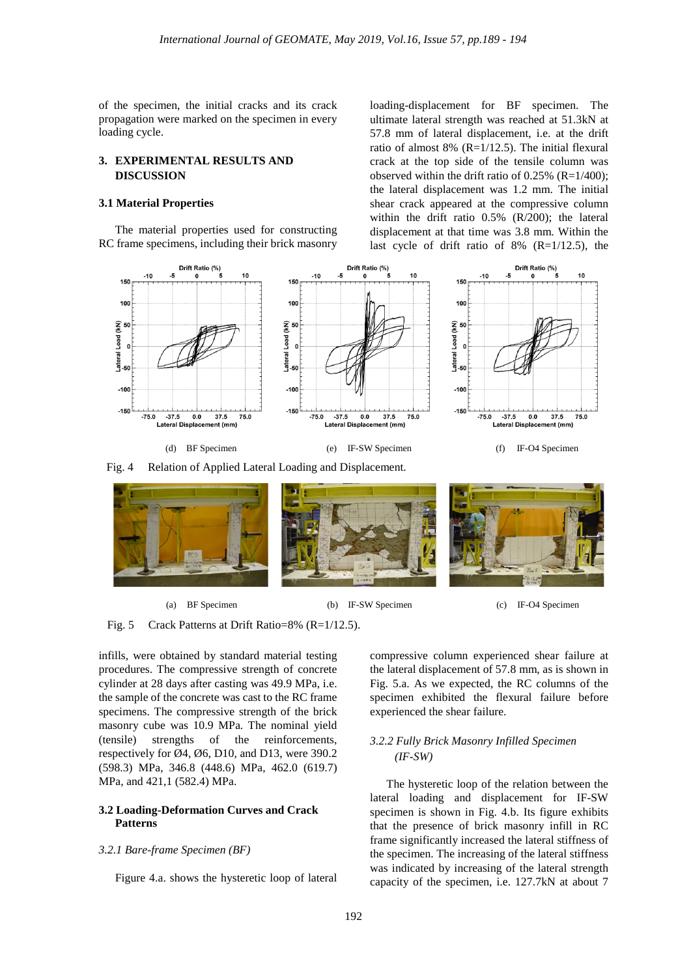of the specimen, the initial cracks and its crack propagation were marked on the specimen in every loading cycle.

# **3. EXPERIMENTAL RESULTS AND DISCUSSION**

## **3.1 Material Properties**

The material properties used for constructing RC frame specimens, including their brick masonry loading-displacement for BF specimen. The ultimate lateral strength was reached at 51.3kN at 57.8 mm of lateral displacement, i.e. at the drift ratio of almost 8% (R=1/12.5). The initial flexural crack at the top side of the tensile column was observed within the drift ratio of  $0.25\%$  (R=1/400); the lateral displacement was 1.2 mm. The initial shear crack appeared at the compressive column within the drift ratio 0.5% (R/200); the lateral displacement at that time was 3.8 mm. Within the last cycle of drift ratio of 8% (R=1/12.5), the





(a) BF Specimen (b) IF-SW Specimen (c) IF-O4 Specimen

Fig. 5 Crack Patterns at Drift Ratio=8% (R=1/12.5).

infills, were obtained by standard material testing procedures. The compressive strength of concrete cylinder at 28 days after casting was 49.9 MPa, i.e. the sample of the concrete was cast to the RC frame specimens. The compressive strength of the brick masonry cube was 10.9 MPa. The nominal yield (tensile) strengths of the reinforcements, respectively for Ø4, Ø6, D10, and D13, were 390.2 (598.3) MPa, 346.8 (448.6) MPa, 462.0 (619.7) MPa, and 421,1 (582.4) MPa.

## **3.2 Loading-Deformation Curves and Crack Patterns**

#### *3.2.1 Bare-frame Specimen (BF)*

Figure 4.a. shows the hysteretic loop of lateral

compressive column experienced shear failure at the lateral displacement of 57.8 mm, as is shown in Fig. 5.a. As we expected, the RC columns of the specimen exhibited the flexural failure before experienced the shear failure.

# *3.2.2 Fully Brick Masonry Infilled Specimen (IF-SW)*

The hysteretic loop of the relation between the lateral loading and displacement for IF-SW specimen is shown in Fig. 4.b. Its figure exhibits that the presence of brick masonry infill in RC frame significantly increased the lateral stiffness of the specimen. The increasing of the lateral stiffness was indicated by increasing of the lateral strength capacity of the specimen, i.e. 127.7kN at about 7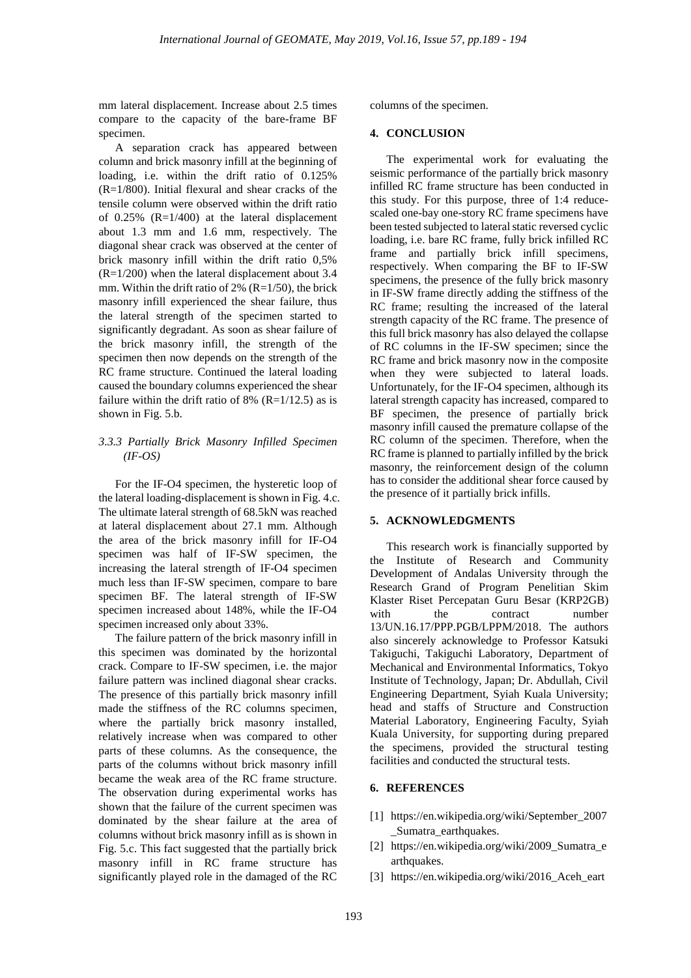mm lateral displacement. Increase about 2.5 times compare to the capacity of the bare-frame BF specimen.

A separation crack has appeared between column and brick masonry infill at the beginning of loading, i.e. within the drift ratio of 0.125% (R=1/800). Initial flexural and shear cracks of the tensile column were observed within the drift ratio of  $0.25\%$  (R=1/400) at the lateral displacement about 1.3 mm and 1.6 mm, respectively. The diagonal shear crack was observed at the center of brick masonry infill within the drift ratio 0,5% (R=1/200) when the lateral displacement about 3.4 mm. Within the drift ratio of  $2\%$  (R=1/50), the brick masonry infill experienced the shear failure, thus the lateral strength of the specimen started to significantly degradant. As soon as shear failure of the brick masonry infill, the strength of the specimen then now depends on the strength of the RC frame structure. Continued the lateral loading caused the boundary columns experienced the shear failure within the drift ratio of 8% ( $R=1/12.5$ ) as is shown in Fig. 5.b.

## *3.3.3 Partially Brick Masonry Infilled Specimen (IF-OS)*

For the IF-O4 specimen, the hysteretic loop of the lateral loading-displacement is shown in Fig. 4.c. The ultimate lateral strength of 68.5kN was reached at lateral displacement about 27.1 mm. Although the area of the brick masonry infill for IF-O4 specimen was half of IF-SW specimen, the increasing the lateral strength of IF-O4 specimen much less than IF-SW specimen, compare to bare specimen BF. The lateral strength of IF-SW specimen increased about 148%, while the IF-O4 specimen increased only about 33%.

The failure pattern of the brick masonry infill in this specimen was dominated by the horizontal crack. Compare to IF-SW specimen, i.e. the major failure pattern was inclined diagonal shear cracks. The presence of this partially brick masonry infill made the stiffness of the RC columns specimen, where the partially brick masonry installed, relatively increase when was compared to other parts of these columns. As the consequence, the parts of the columns without brick masonry infill became the weak area of the RC frame structure. The observation during experimental works has shown that the failure of the current specimen was dominated by the shear failure at the area of columns without brick masonry infill as is shown in Fig. 5.c. This fact suggested that the partially brick masonry infill in RC frame structure has significantly played role in the damaged of the RC

columns of the specimen.

## **4. CONCLUSION**

The experimental work for evaluating the seismic performance of the partially brick masonry infilled RC frame structure has been conducted in this study. For this purpose, three of 1:4 reducescaled one-bay one-story RC frame specimens have been tested subjected to lateral static reversed cyclic loading, i.e. bare RC frame, fully brick infilled RC frame and partially brick infill specimens, respectively. When comparing the BF to IF-SW specimens, the presence of the fully brick masonry in IF-SW frame directly adding the stiffness of the RC frame; resulting the increased of the lateral strength capacity of the RC frame. The presence of this full brick masonry has also delayed the collapse of RC columns in the IF-SW specimen; since the RC frame and brick masonry now in the composite when they were subjected to lateral loads. Unfortunately, for the IF-O4 specimen, although its lateral strength capacity has increased, compared to BF specimen, the presence of partially brick masonry infill caused the premature collapse of the RC column of the specimen. Therefore, when the RC frame is planned to partially infilled by the brick masonry, the reinforcement design of the column has to consider the additional shear force caused by the presence of it partially brick infills.

## **5. ACKNOWLEDGMENTS**

This research work is financially supported by the Institute of Research and Community Development of Andalas University through the Research Grand of Program Penelitian Skim Klaster Riset Percepatan Guru Besar (KRP2GB) with the contract number 13/UN.16.17/PPP.PGB/LPPM/2018. The authors also sincerely acknowledge to Professor Katsuki Takiguchi, Takiguchi Laboratory, Department of Mechanical and Environmental Informatics, Tokyo Institute of Technology, Japan; Dr. Abdullah, Civil Engineering Department, Syiah Kuala University; head and staffs of Structure and Construction Material Laboratory, Engineering Faculty, Syiah Kuala University, for supporting during prepared the specimens, provided the structural testing facilities and conducted the structural tests.

# **6. REFERENCES**

- [1] https://en.wikipedia.org/wiki/September\_2007 \_Sumatra\_earthquakes.
- [2] https://en.wikipedia.org/wiki/2009\_Sumatra\_e arthquakes.
- [3] https://en.wikipedia.org/wiki/2016\_Aceh\_eart